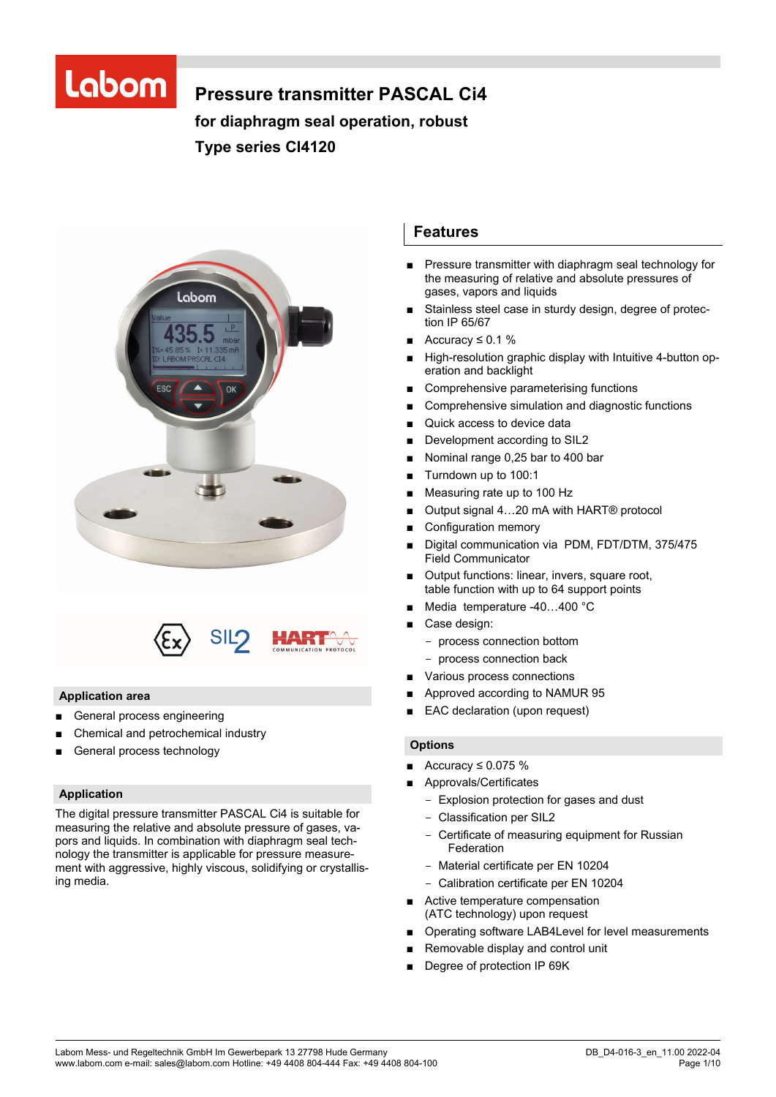# Labom

# **Pressure transmitter PASCAL Ci4**

**for diaphragm seal operation, robust Type series CI4120** 





# **Application area**

- General process engineering
- Chemical and petrochemical industry
- General process technology

# **Application**

The digital pressure transmitter PASCAL Ci4 is suitable for measuring the relative and absolute pressure of gases, vapors and liquids. In combination with diaphragm seal technology the transmitter is applicable for pressure measurement with aggressive, highly viscous, solidifying or crystallising media.

# **Features**

- Pressure transmitter with diaphragm seal technology for the measuring of relative and absolute pressures of gases, vapors and liquids
- Stainless steel case in sturdy design, degree of protection IP 65/67
- Accuracy  $\leq 0.1$  %
- High-resolution graphic display with Intuitive 4-button operation and backlight
- Comprehensive parameterising functions
- Comprehensive simulation and diagnostic functions
- Quick access to device data
- Development according to SIL2
- Nominal range 0,25 bar to 400 bar
- Turndown up to 100:1
- Measuring rate up to 100 Hz
- Output signal 4...20 mA with HART<sup>®</sup> protocol
- Configuration memory
- Digital communication via PDM, FDT/DTM, 375/475 Field Communicator
- Output functions: linear, invers, square root, table function with up to 64 support points
- Media temperature -40...400 °C
- Case design:
	- process connection bottom
	- process connection back
	- Various process connections
- Approved according to NAMUR 95
- EAC declaration (upon request)

#### **Options**

- Accuracy ≤ 0.075 %
- Approvals/Certificates
	- Explosion protection for gases and dust
	- Classification per SIL2
	- Certificate of measuring equipment for Russian Federation
	- Material certificate per EN 10204
	- Calibration certificate per EN 10204
- Active temperature compensation (ATC technology) upon request
- Operating software LAB4Level for level measurements
- Removable display and control unit
- Degree of protection IP 69K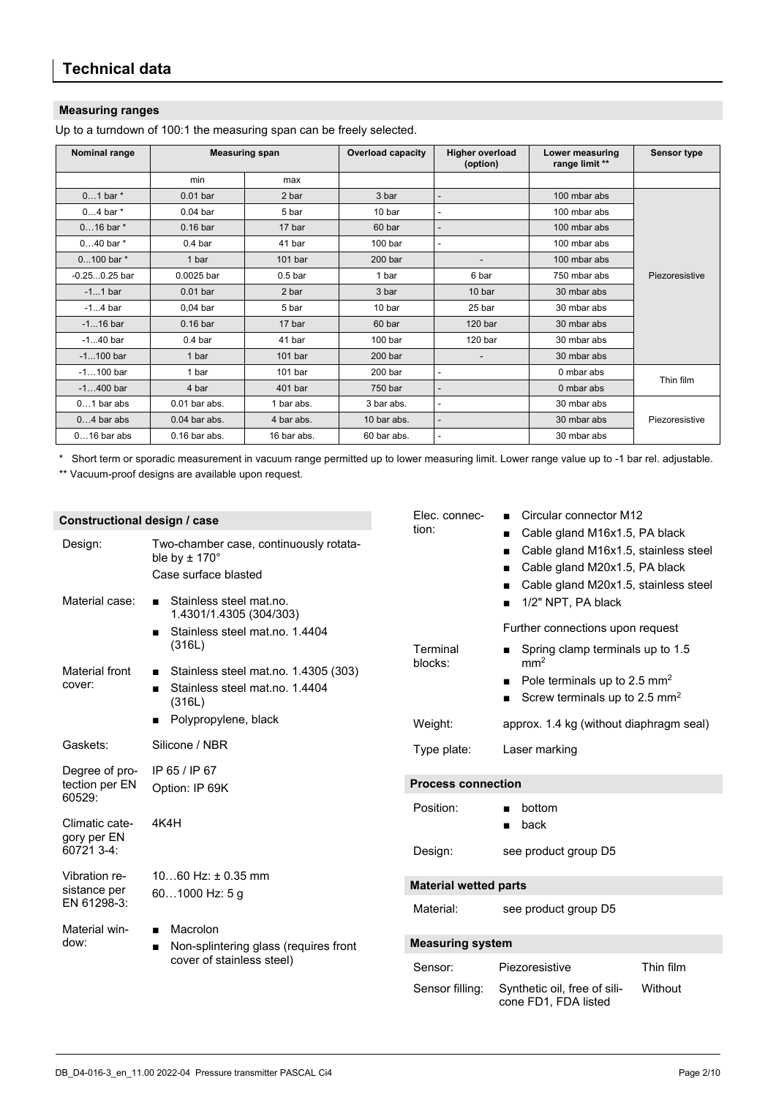# **Measuring ranges**

Up to a turndown of 100:1 the measuring span can be freely selected.

| Nominal range   |                 | <b>Measuring span</b> | <b>Overload capacity</b> | <b>Higher overload</b><br>(option) | Lower measuring<br>range limit ** | Sensor type    |
|-----------------|-----------------|-----------------------|--------------------------|------------------------------------|-----------------------------------|----------------|
|                 | min             | max                   |                          |                                    |                                   |                |
| $01$ bar $*$    | $0.01$ bar      | 2 bar                 | 3 bar                    |                                    | 100 mbar abs                      |                |
| $04$ bar $*$    | $0.04$ bar      | 5 bar                 | 10 <sub>bar</sub>        | $\overline{\phantom{a}}$           | 100 mbar abs                      |                |
| $016$ bar $*$   | $0.16$ bar      | 17 bar                | 60 bar                   |                                    | 100 mbar abs                      |                |
| $040$ bar $*$   | $0.4b$ ar       | 41 bar                | 100 <sub>bar</sub>       | $\blacksquare$                     | 100 mbar abs                      |                |
| $0100$ bar $*$  | 1 bar           | 101 <sub>bar</sub>    | 200 <sub>bar</sub>       |                                    | 100 mbar abs                      |                |
| $-0.250.25$ bar | 0.0025 bar      | 0.5 <sub>bar</sub>    | 1 bar                    | 6 bar                              | 750 mbar abs                      | Piezoresistive |
| $-11$ bar       | $0.01$ bar      | 2 bar                 | 3 bar                    | 10 bar                             | 30 mbar abs                       |                |
| $-14$ bar       | $0.04$ bar      | 5 bar                 | 10 bar                   | 25 bar                             | 30 mbar abs                       |                |
| $-116$ bar      | $0.16$ bar      | 17 bar                | 60 bar                   | 120 <sub>bar</sub>                 | 30 mbar abs                       |                |
| $-140$ bar      | $0.4b$ ar       | 41 bar                | 100 <sub>bar</sub>       | 120 <sub>bar</sub>                 | 30 mbar abs                       |                |
| $-1100$ bar     | 1 bar           | 101 <sub>bar</sub>    | 200 <sub>bar</sub>       | $\overline{\phantom{a}}$           | 30 mbar abs                       |                |
| $-1100$ bar     | 1 bar           | 101 <sub>bar</sub>    | 200 <sub>bar</sub>       | $\blacksquare$                     | 0 mbar abs                        | Thin film      |
| $-1400$ bar     | 4 bar           | 401 bar               | 750 bar                  |                                    | 0 mbar abs                        |                |
| $01$ bar abs    | $0.01$ bar abs. | 1 bar abs.            | 3 bar abs.               | ٠                                  | 30 mbar abs                       |                |
| $04$ bar abs    | $0.04$ bar abs. | 4 bar abs.            | 10 bar abs.              |                                    | 30 mbar abs                       | Piezoresistive |
| $016$ bar abs   | $0.16$ bar abs. | 16 bar abs.           | 60 bar abs.              | ٠                                  | 30 mbar abs                       |                |

\* Short term or sporadic measurement in vacuum range permitted up to lower measuring limit. Lower range value up to -1 bar rel. adjustable.

\*\* Vacuum-proof designs are available upon request.

| Constructional design / case            |                                                                                                    | Elec. connec-<br>tion:       | Circular connector M12                                                                                                                         |           |
|-----------------------------------------|----------------------------------------------------------------------------------------------------|------------------------------|------------------------------------------------------------------------------------------------------------------------------------------------|-----------|
| Design:                                 | Two-chamber case, continuously rotata-<br>ble by $\pm$ 170 $^{\circ}$<br>Case surface blasted      |                              | Cable gland M16x1.5, PA black<br>Cable gland M16x1.5, stainless steel<br>Cable gland M20x1.5, PA black<br>Cable gland M20x1.5, stainless steel |           |
| Material case:                          | Stainless steel mat.no.<br>1.4301/1.4305 (304/303)                                                 |                              | 1/2" NPT, PA black                                                                                                                             |           |
|                                         | Stainless steel mat.no. 1.4404<br>$\blacksquare$<br>(316L)                                         | Terminal                     | Further connections upon request<br>■ Spring clamp terminals up to 1.5                                                                         |           |
| Material front<br>cover:                | Stainless steel mat.no. 1.4305 (303)<br>Stainless steel mat.no. 1.4404<br>$\blacksquare$<br>(316L) | blocks:                      | mm <sup>2</sup><br>Pole terminals up to 2.5 mm <sup>2</sup><br>Screw terminals up to 2.5 $mm2$                                                 |           |
|                                         | Polypropylene, black                                                                               | Weight:                      | approx. 1.4 kg (without diaphragm seal)                                                                                                        |           |
| Gaskets:                                | Silicone / NBR                                                                                     | Type plate:                  | Laser marking                                                                                                                                  |           |
| Degree of pro-<br>tection per EN        | IP 65 / IP 67<br>Option: IP 69K                                                                    | <b>Process connection</b>    |                                                                                                                                                |           |
| 60529:<br>Climatic cate-<br>gory per EN | 4K4H                                                                                               | Position:                    | bottom<br>back                                                                                                                                 |           |
| 60721 3-4:                              |                                                                                                    | Design:                      | see product group D5                                                                                                                           |           |
| Vibration re-<br>sistance per           | $1060$ Hz: $\pm$ 0.35 mm<br>601000 Hz: 5 g                                                         | <b>Material wetted parts</b> |                                                                                                                                                |           |
| EN 61298-3:                             |                                                                                                    | Material:                    | see product group D5                                                                                                                           |           |
| Material win-<br>dow:                   | Macrolon<br>$\blacksquare$                                                                         |                              |                                                                                                                                                |           |
|                                         | Non-splintering glass (requires front<br>п<br>cover of stainless steel)                            | <b>Measuring system</b>      |                                                                                                                                                |           |
|                                         |                                                                                                    | Sensor:                      | Piezoresistive                                                                                                                                 | Thin film |
|                                         |                                                                                                    | Sensor filling:              | Synthetic oil, free of sili-<br>cone FD1, FDA listed                                                                                           | Without   |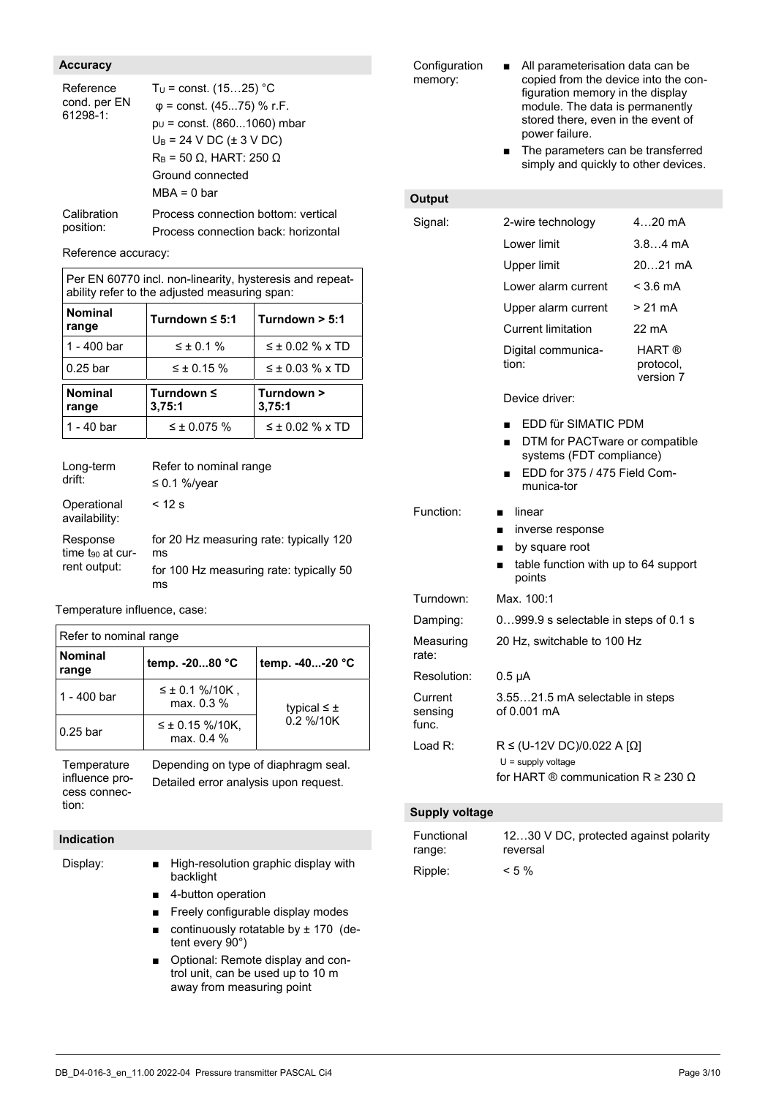# **Accuracy**

| Reference<br>cond. per EN<br>61298-1: | $T_U$ = const. (1525) °C<br>$\varphi$ = const. (4575) % r.F.<br>$p_U$ = const. (8601060) mbar<br>$U_B = 24$ V DC ( $\pm$ 3 V DC)<br>$R_B$ = 50 $\Omega$ , HART: 250 $\Omega$<br>Ground connected<br>$MBA = 0$ bar |
|---------------------------------------|-------------------------------------------------------------------------------------------------------------------------------------------------------------------------------------------------------------------|
| Calibration                           | Process connection bottom: vertical                                                                                                                                                                               |
| position:                             | Process connection back: horizontal                                                                                                                                                                               |

Reference accuracy:

| Per EN 60770 incl. non-linearity, hysteresis and repeat-<br>ability refer to the adjusted measuring span: |                      |                        |  |  |
|-----------------------------------------------------------------------------------------------------------|----------------------|------------------------|--|--|
| <b>Nominal</b><br>range                                                                                   | Turndown $\leq 5:1$  | Turndown $> 5:1$       |  |  |
| 1 - 400 bar                                                                                               | $\leq \pm 0.1 \%$    | $\leq \pm 0.02$ % x TD |  |  |
| $0.25$ bar                                                                                                | $≤$ ± 0.15 %         | $\leq \pm 0.03$ % x TD |  |  |
| <b>Nominal</b><br>range                                                                                   | Turndown ≤<br>3,75:1 | Turndown ><br>3,75:1   |  |  |
| 1 - 40 bar                                                                                                | $\leq \pm 0.075$ %   | $\leq \pm 0.02$ % x TD |  |  |

| Long-term<br>drift:                         | Refer to nominal range<br>$\leq$ 0.1 %/year                                                    |
|---------------------------------------------|------------------------------------------------------------------------------------------------|
| Operational<br>availability:                | $<$ 12 s                                                                                       |
| Response<br>time to at cur-<br>rent output: | for 20 Hz measuring rate: typically 120<br>ms<br>for 100 Hz measuring rate: typically 50<br>ms |

Temperature influence, case:

| Refer to nominal range  |                                      |                                 |  |  |
|-------------------------|--------------------------------------|---------------------------------|--|--|
| <b>Nominal</b><br>range | temp. - 2080 °C                      | temp. -40-20 °C                 |  |  |
| 1 - 400 bar             | $≤$ ± 0.1 %/10K,<br>max. 0.3 %       | typical $\leq \pm$<br>0.2 %/10K |  |  |
| 0.25 bar                | $\leq \pm 0.15$ %/10K,<br>max. 0.4 % |                                 |  |  |

**Temperature** influence process connection:

Depending on type of diaphragm seal. Detailed error analysis upon request.

# **Indication**

- Display: High-resolution graphic display with backlight
	- 4-button operation
	- Freely configurable display modes
	- continuously rotatable by  $± 170$  (detent every 90°)
	- Optional: Remote display and control unit, can be used up to 10 m away from measuring point

**Configuration** memory:

- All parameterisation data can be copied from the device into the configuration memory in the display module. The data is permanently stored there, even in the event of power failure.
- The parameters can be transferred simply and quickly to other devices.

# **Output**

| Signal:                     | 2-wire technology                                                                                                                                      | $420$ mA                                           |  |
|-----------------------------|--------------------------------------------------------------------------------------------------------------------------------------------------------|----------------------------------------------------|--|
|                             | Lower limit                                                                                                                                            | $3.84 \text{ mA}$                                  |  |
|                             | <b>Upper limit</b>                                                                                                                                     | 2021 mA                                            |  |
|                             | Lower alarm current                                                                                                                                    | $<$ 3.6 mA                                         |  |
|                             | Upper alarm current                                                                                                                                    | $> 21 \text{ mA}$                                  |  |
|                             | <b>Current limitation</b>                                                                                                                              | 22 mA                                              |  |
|                             | Digital communica-<br>tion:                                                                                                                            | <b>HART</b> <sup>®</sup><br>protocol,<br>version 7 |  |
|                             | Device driver:                                                                                                                                         |                                                    |  |
|                             | EDD für SIMATIC PDM<br>DTM for PACTware or compatible<br>$\blacksquare$<br>systems (FDT compliance)<br>EDD for 375 / 475 Field Com-<br>п<br>munica-tor |                                                    |  |
| Function:                   | linear<br>inverse response<br>■<br>by square root<br>п<br>table function with up to 64 support<br>■<br>points                                          |                                                    |  |
| Turndown:                   | Max. 100:1                                                                                                                                             |                                                    |  |
| Damping:                    | 0999.9 s selectable in steps of 0.1 s                                                                                                                  |                                                    |  |
| Measuring<br>rate:          | 20 Hz, switchable to 100 Hz                                                                                                                            |                                                    |  |
| Resolution:                 | $0.5 \mu A$                                                                                                                                            |                                                    |  |
| Current<br>sensing<br>func. | 3.5521.5 mA selectable in steps<br>of 0.001 mA                                                                                                         |                                                    |  |
| Load R:                     | $R \leq (U-12V DC)/0.022 A [Ω]$                                                                                                                        |                                                    |  |
|                             | $U =$ supply voltage                                                                                                                                   |                                                    |  |
|                             | for HART $\circledR$ communication R $\geq$ 230 $\Omega$                                                                                               |                                                    |  |

### **Supply voltage**

| Functional | 1230 V DC, protected against polarity |
|------------|---------------------------------------|
| range:     | reversal                              |
| Ripple:    | $< 5 \%$                              |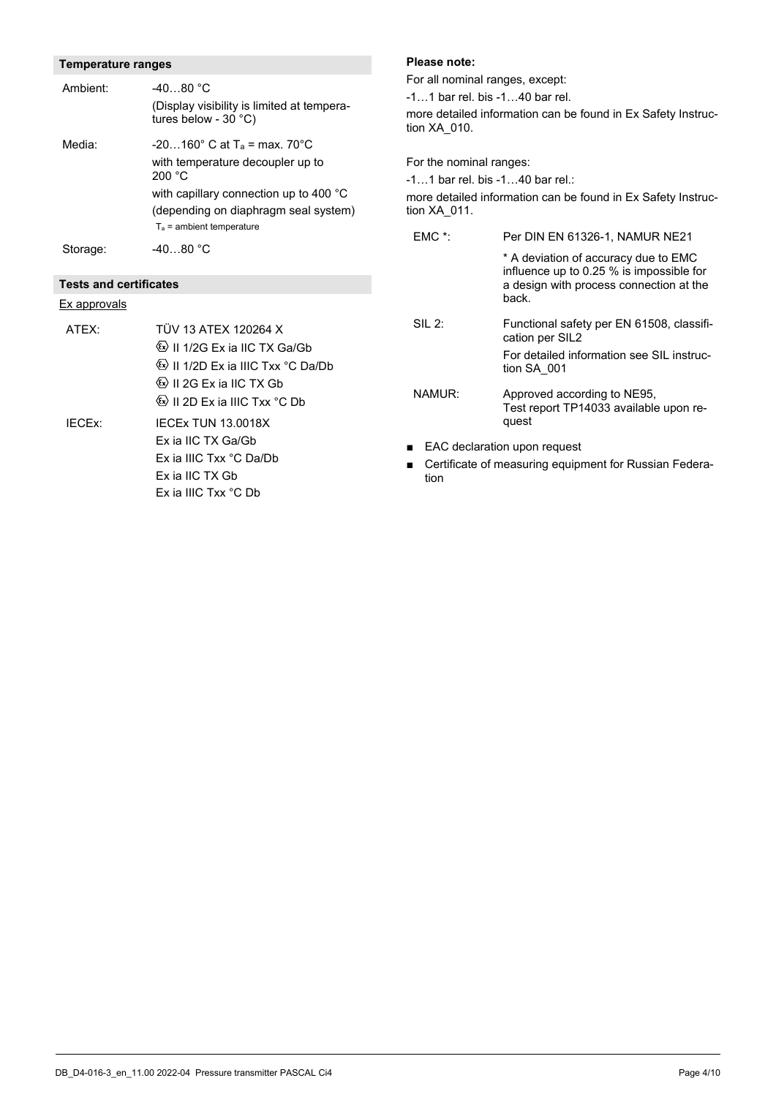# **Temperature ranges**

| Ambient:                      | $-4080 °C$<br>(Display visibility is limited at tempera-<br>tures below - $30 °C$ )                                                                  |
|-------------------------------|------------------------------------------------------------------------------------------------------------------------------------------------------|
| Media:                        | $-20160^{\circ}$ C at T <sub>a</sub> = max. 70 $^{\circ}$ C<br>with temperature decoupler up to<br>200 °C                                            |
|                               | with capillary connection up to 400 °C<br>(depending on diaphragm seal system)<br>$T_a$ = ambient temperature                                        |
| Storage:                      | $-4080 °C$                                                                                                                                           |
| <b>Tests and certificates</b> |                                                                                                                                                      |
| <u>Ex approvals</u>           |                                                                                                                                                      |
| ATFX:                         | TÜV 13 ATFX 120264 X<br>$\langle x \rangle$ II 1/2G Ex ia IIC TX Ga/Gb<br>Ee II 1/2D Ex ia IIIC Txx °C Da/Db<br><sup>《ε</sup> ×〉 Ⅱ 2G Ex ia ⅡC TX Gb |

 II 2D Ex ia IIIC Txx °C Db IECEx: IECEx TUN 13.0018X Ex ia IIC TX Ga/Gb Ex ia IIIC Txx °C Da/Db Ex ia IIC TX Gb Ex ia IIIC Txx °C Db

#### **Please note:**

For all nominal ranges, except: -1…1 bar rel. bis -1…40 bar rel. more detailed information can be found in Ex Safety Instruction XA\_010.

For the nominal ranges: -1…1 bar rel. bis -1…40 bar rel.: more detailed information can be found in Ex Safety Instruction XA\_011.

| $EMC$ *: | Per DIN EN 61326-1. NAMUR NE21                                                                                                       |  |  |
|----------|--------------------------------------------------------------------------------------------------------------------------------------|--|--|
|          | * A deviation of accuracy due to EMC<br>influence up to 0.25 % is impossible for<br>a design with process connection at the<br>back. |  |  |
| $SII$ 2: | Functional safety per EN 61508, classifi-<br>cation per SIL2                                                                         |  |  |
|          | For detailed information see SIL instruc-<br>tion SA 001                                                                             |  |  |
| NAMUR:   | Approved according to NE95,<br>Test report TP14033 available upon re-<br>quest                                                       |  |  |
|          |                                                                                                                                      |  |  |

- EAC declaration upon request
- Certificate of measuring equipment for Russian Federation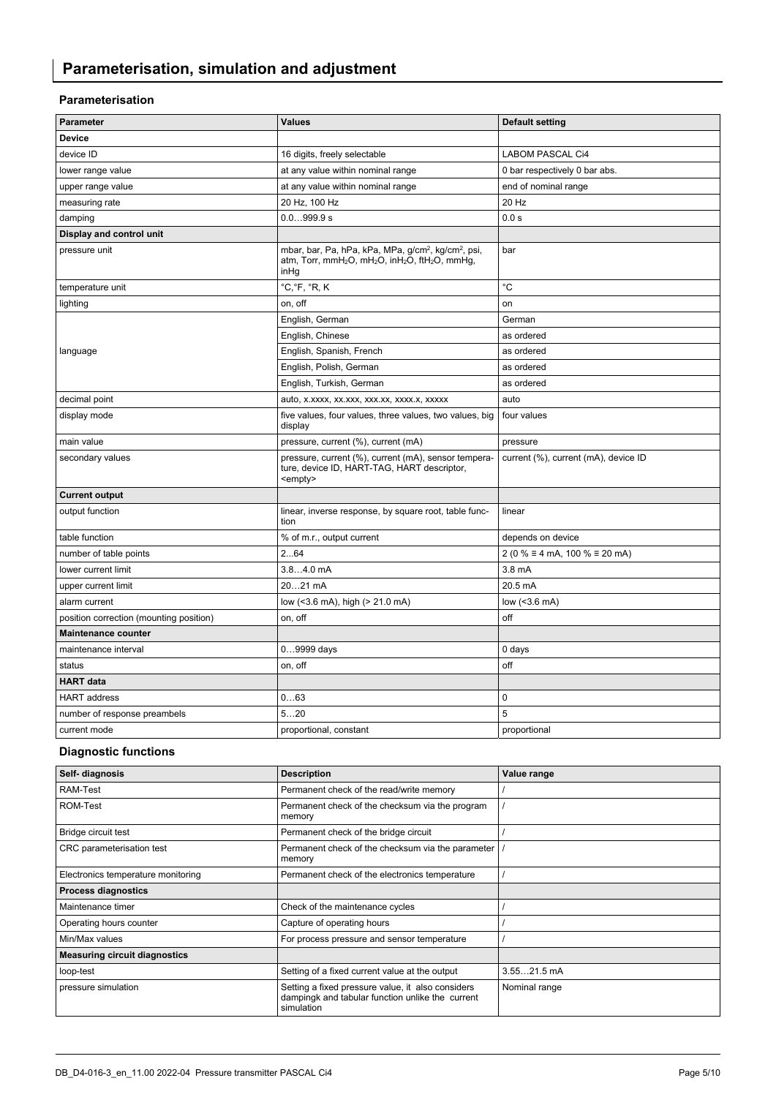# **Parameterisation**

| Parameter                               | <b>Values</b>                                                                                                                                                                          | <b>Default setting</b>                      |
|-----------------------------------------|----------------------------------------------------------------------------------------------------------------------------------------------------------------------------------------|---------------------------------------------|
| <b>Device</b>                           |                                                                                                                                                                                        |                                             |
| device ID                               | 16 digits, freely selectable                                                                                                                                                           | <b>LABOM PASCAL Ci4</b>                     |
| lower range value                       | at any value within nominal range                                                                                                                                                      | 0 bar respectively 0 bar abs.               |
| upper range value                       | at any value within nominal range                                                                                                                                                      | end of nominal range                        |
| measuring rate                          | 20 Hz, 100 Hz                                                                                                                                                                          | 20 Hz                                       |
| damping                                 | 0.0999.9 s                                                                                                                                                                             | 0.0 s                                       |
| Display and control unit                |                                                                                                                                                                                        |                                             |
| pressure unit                           | mbar, bar, Pa, hPa, kPa, MPa, g/cm <sup>2</sup> , kg/cm <sup>2</sup> , psi,<br>atm, Torr, mmH <sub>2</sub> O, mH <sub>2</sub> O, inH <sub>2</sub> O, ftH <sub>2</sub> O, mmHg,<br>inHg | bar                                         |
| temperature unit                        | °C,°F, °R, K                                                                                                                                                                           | °C                                          |
| lighting                                | on, off                                                                                                                                                                                | on                                          |
|                                         | English, German                                                                                                                                                                        | German                                      |
|                                         | English, Chinese                                                                                                                                                                       | as ordered                                  |
| language                                | English, Spanish, French                                                                                                                                                               | as ordered                                  |
|                                         | English, Polish, German                                                                                                                                                                | as ordered                                  |
|                                         | English, Turkish, German                                                                                                                                                               | as ordered                                  |
| decimal point                           | auto, x.xxxx, xx.xxx, xxx.xx, xxxx.x, xxxxx                                                                                                                                            | auto                                        |
| display mode                            | five values, four values, three values, two values, big<br>display                                                                                                                     | four values                                 |
| main value                              | pressure, current (%), current (mA)                                                                                                                                                    | pressure                                    |
| secondary values                        | pressure, current (%), current (mA), sensor tempera-<br>ture, device ID, HART-TAG, HART descriptor,<br><empty></empty>                                                                 | current (%), current (mA), device ID        |
| <b>Current output</b>                   |                                                                                                                                                                                        |                                             |
| output function                         | linear, inverse response, by square root, table func-<br>tion                                                                                                                          | linear                                      |
| table function                          | % of m.r., output current                                                                                                                                                              | depends on device                           |
| number of table points                  | 264                                                                                                                                                                                    | 2 (0 % $\equiv$ 4 mA, 100 % $\equiv$ 20 mA) |
| lower current limit                     | $3.84.0$ mA                                                                                                                                                                            | 3.8 mA                                      |
| upper current limit                     | 2021 mA                                                                                                                                                                                | 20.5 mA                                     |
| alarm current                           | low (<3.6 mA), high (> 21.0 mA)                                                                                                                                                        | low $(<3.6$ mA)                             |
| position correction (mounting position) | on, off                                                                                                                                                                                | off                                         |
| <b>Maintenance counter</b>              |                                                                                                                                                                                        |                                             |
| maintenance interval                    | 09999 days                                                                                                                                                                             | 0 days                                      |
| status                                  | on, off                                                                                                                                                                                | off                                         |
| <b>HART</b> data                        |                                                                                                                                                                                        |                                             |
| <b>HART</b> address                     | 063                                                                                                                                                                                    | $\mathbf 0$                                 |
| number of response preambels            | 520                                                                                                                                                                                    | 5                                           |
| current mode                            | proportional, constant                                                                                                                                                                 | proportional                                |

# **Diagnostic functions**

| Self- diagnosis                      | <b>Description</b>                                                                                                  | Value range   |
|--------------------------------------|---------------------------------------------------------------------------------------------------------------------|---------------|
| RAM-Test                             | Permanent check of the read/write memory                                                                            |               |
| ROM-Test                             | Permanent check of the checksum via the program<br>memory                                                           |               |
| Bridge circuit test                  | Permanent check of the bridge circuit                                                                               |               |
| CRC parameterisation test            | Permanent check of the checksum via the parameter<br>memory                                                         |               |
| Electronics temperature monitoring   | Permanent check of the electronics temperature                                                                      |               |
| <b>Process diagnostics</b>           |                                                                                                                     |               |
| Maintenance timer                    | Check of the maintenance cycles                                                                                     |               |
| Operating hours counter              | Capture of operating hours                                                                                          |               |
| Min/Max values                       | For process pressure and sensor temperature                                                                         |               |
| <b>Measuring circuit diagnostics</b> |                                                                                                                     |               |
| loop-test                            | Setting of a fixed current value at the output                                                                      | $3.5521.5$ mA |
| pressure simulation                  | Setting a fixed pressure value, it also considers<br>dampingk and tabular function unlike the current<br>simulation | Nominal range |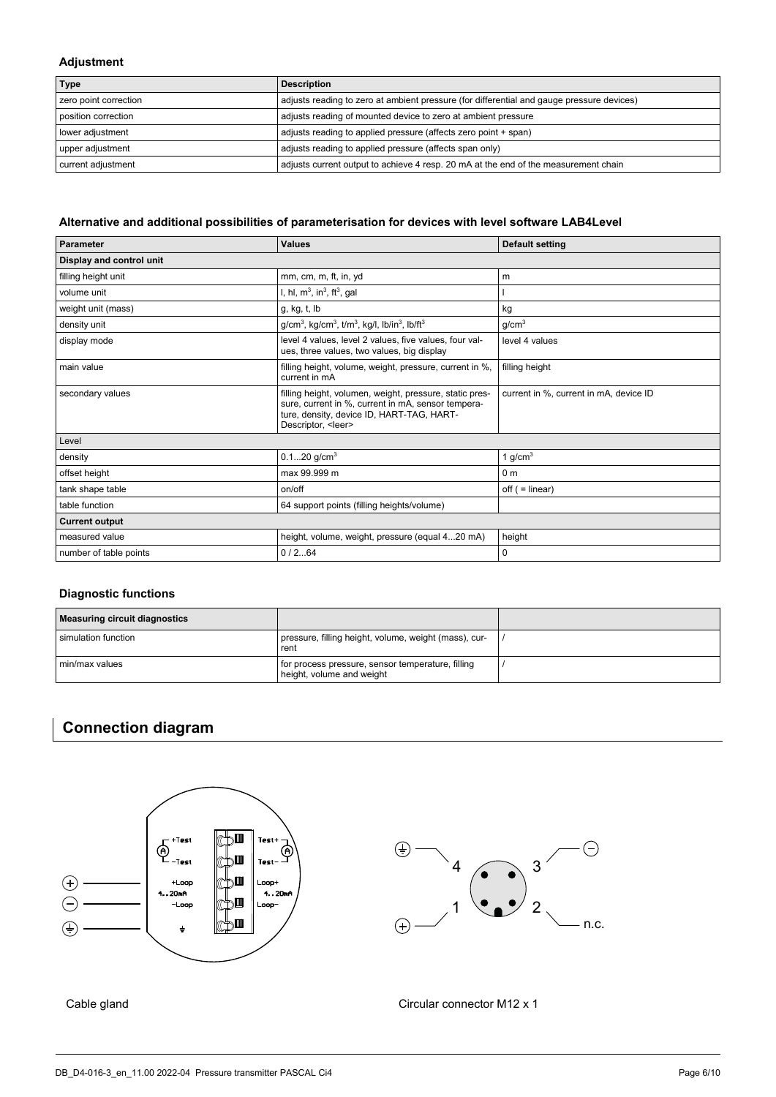# **Adjustment**

| <b>Type</b>           | <b>Description</b>                                                                        |
|-----------------------|-------------------------------------------------------------------------------------------|
| zero point correction | adjusts reading to zero at ambient pressure (for differential and gauge pressure devices) |
| position correction   | adjusts reading of mounted device to zero at ambient pressure                             |
| lower adjustment      | adjusts reading to applied pressure (affects zero point + span)                           |
| upper adjustment      | adjusts reading to applied pressure (affects span only)                                   |
| current adjustment    | adjusts current output to achieve 4 resp. 20 mA at the end of the measurement chain       |

# **Alternative and additional possibilities of parameterisation for devices with level software LAB4Level**

| <b>Parameter</b>         | <b>Values</b>                                                                                                                                                                           | <b>Default setting</b>                 |  |
|--------------------------|-----------------------------------------------------------------------------------------------------------------------------------------------------------------------------------------|----------------------------------------|--|
| Display and control unit |                                                                                                                                                                                         |                                        |  |
| filling height unit      | mm, cm, m, ft, in, yd                                                                                                                                                                   | m                                      |  |
| volume unit              | l, hl, $m^3$ , in <sup>3</sup> , ft <sup>3</sup> , gal                                                                                                                                  |                                        |  |
| weight unit (mass)       | g, kg, t, lb                                                                                                                                                                            | kg                                     |  |
| density unit             | $g/cm3$ , kg/cm <sup>3</sup> , t/m <sup>3</sup> , kg/l, lb/in <sup>3</sup> , lb/ft <sup>3</sup>                                                                                         | g/cm <sup>3</sup>                      |  |
| display mode             | level 4 values, level 2 values, five values, four val-<br>ues, three values, two values, big display                                                                                    | level 4 values                         |  |
| main value               | filling height, volume, weight, pressure, current in %,<br>current in mA                                                                                                                | filling height                         |  |
| secondary values         | filling height, volumen, weight, pressure, static pres-<br>sure, current in %, current in mA, sensor tempera-<br>ture, density, device ID, HART-TAG, HART-<br>Descriptor, <leer></leer> | current in %, current in mA, device ID |  |
| Level                    |                                                                                                                                                                                         |                                        |  |
| density                  | $0.120$ g/cm <sup>3</sup>                                                                                                                                                               | 1 $g/cm3$                              |  |
| offset height            | max 99.999 m                                                                                                                                                                            | 0 <sub>m</sub>                         |  |
| tank shape table         | on/off                                                                                                                                                                                  | $off (= linear)$                       |  |
| table function           | 64 support points (filling heights/volume)                                                                                                                                              |                                        |  |
| <b>Current output</b>    |                                                                                                                                                                                         |                                        |  |
| measured value           | height, volume, weight, pressure (equal 420 mA)                                                                                                                                         | height                                 |  |
| number of table points   | 0/264                                                                                                                                                                                   | 0                                      |  |

# **Diagnostic functions**

| Measuring circuit diagnostics |                                                                                |  |
|-------------------------------|--------------------------------------------------------------------------------|--|
| l simulation function         | pressure, filling height, volume, weight (mass), cur-<br>rent                  |  |
| min/max values                | for process pressure, sensor temperature, filling<br>height, volume and weight |  |

# **Connection diagram**



Cable gland Cable gland Circular connector M12 x 1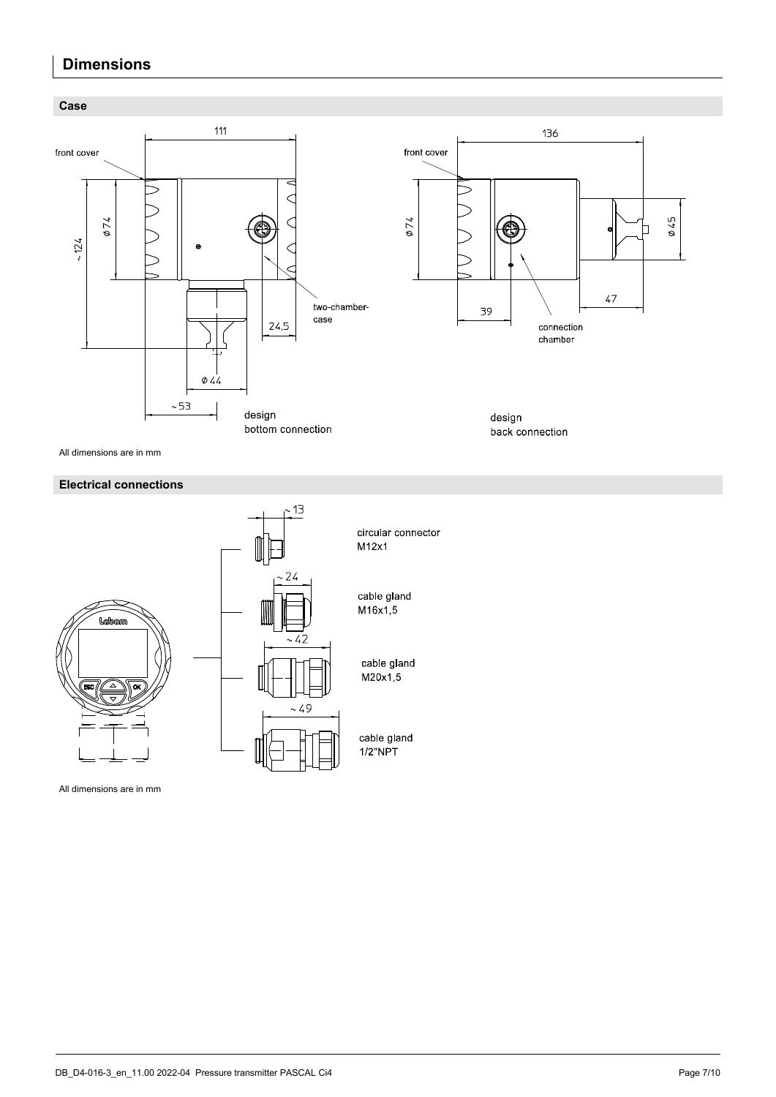# **Dimensions**



All dimensions are in mm

# **Electrical connections**



All dimensions are in mm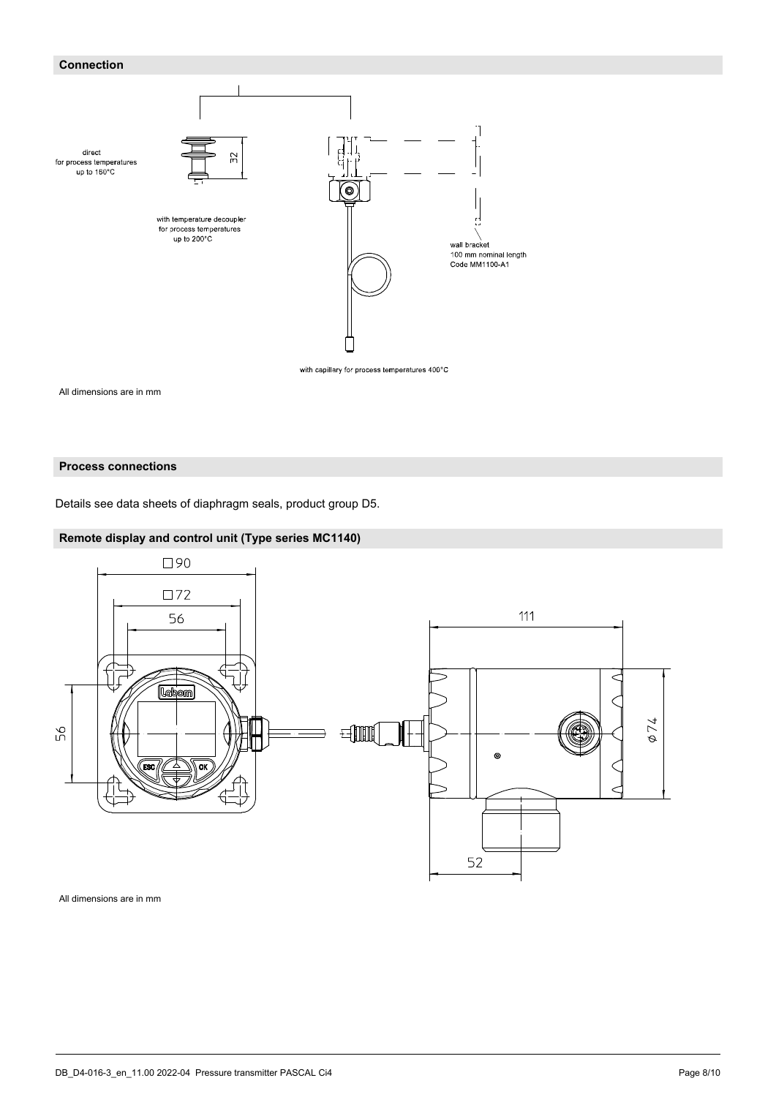# **Connection**



All dimensions are in mm

# **Process connections**

Details see data sheets of diaphragm seals, product group D5.

# **Remote display and control unit (Type series MC1140)**



All dimensions are in mm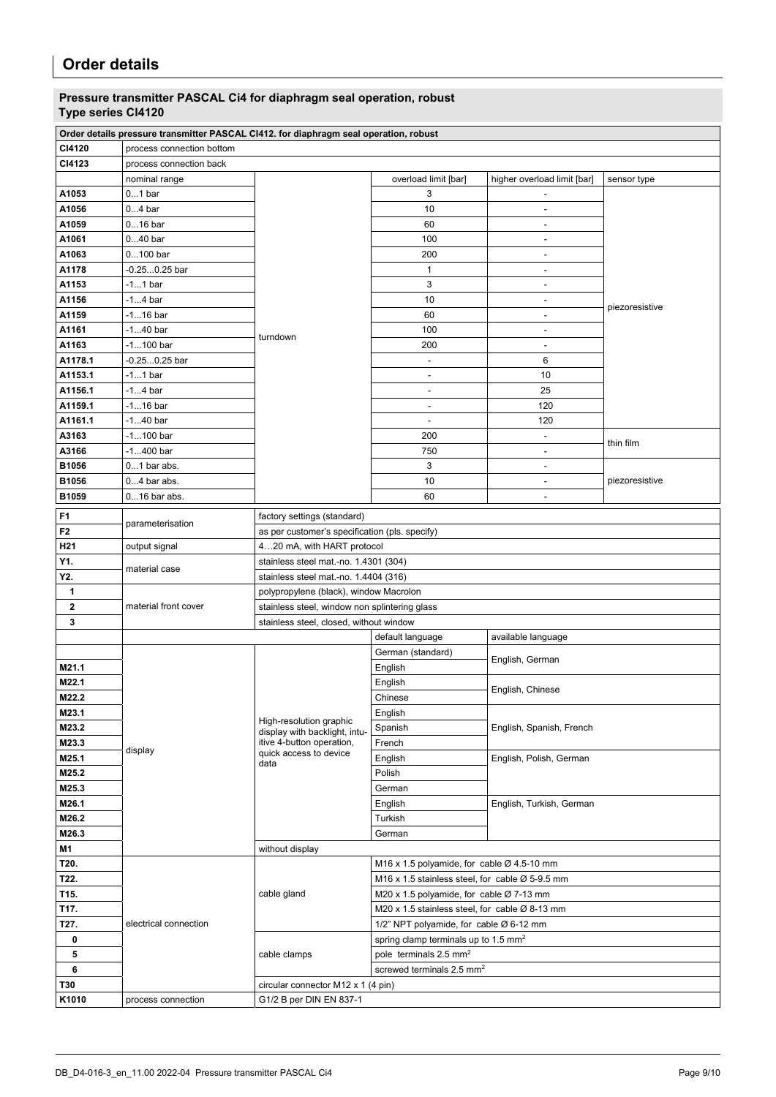# **Pressure transmitter PASCAL Ci4 for diaphragm seal operation, robust Type series CI4120**

|             | Order details pressure transmitter PASCAL CI412. for diaphragm seal operation, robust |                                                     |                                                             |                             |                |
|-------------|---------------------------------------------------------------------------------------|-----------------------------------------------------|-------------------------------------------------------------|-----------------------------|----------------|
| CI4120      | process connection bottom                                                             |                                                     |                                                             |                             |                |
| CI4123      | process connection back                                                               |                                                     |                                                             |                             |                |
|             | nominal range                                                                         |                                                     | overload limit [bar]                                        | higher overload limit [bar] | sensor type    |
| A1053       | $01$ bar                                                                              |                                                     | 3                                                           |                             |                |
| A1056       | $04$ bar                                                                              |                                                     | 10                                                          | $\overline{a}$              |                |
| A1059       | $016$ bar                                                                             |                                                     | 60                                                          | ÷,                          |                |
| A1061       | $040$ bar                                                                             |                                                     | 100                                                         | $\overline{\phantom{a}}$    |                |
| A1063       | $0100$ bar                                                                            |                                                     | 200                                                         | $\overline{\phantom{a}}$    |                |
| A1178       | -0.250.25 bar                                                                         |                                                     | $\mathbf{1}$                                                | ÷,                          |                |
| A1153       | $-11$ bar                                                                             |                                                     | $\ensuremath{\mathsf{3}}$                                   | $\overline{\phantom{a}}$    | piezoresistive |
| A1156       | $-14$ bar                                                                             |                                                     | 10                                                          | $\overline{\phantom{a}}$    |                |
| A1159       | $-116$ bar                                                                            |                                                     | 60                                                          | $\overline{\phantom{a}}$    |                |
| A1161       | $-140$ bar                                                                            |                                                     | 100                                                         | $\overline{\phantom{a}}$    |                |
| A1163       | $-1100$ bar                                                                           | turndown                                            | 200                                                         | $\overline{\phantom{a}}$    |                |
| A1178.1     | $-0.250.25$ bar                                                                       |                                                     |                                                             | 6                           |                |
| A1153.1     | $-11$ bar                                                                             |                                                     | $\qquad \qquad \blacksquare$                                | 10                          |                |
| A1156.1     | $-14$ bar                                                                             |                                                     | $\overline{a}$                                              | 25                          |                |
| A1159.1     | -116 bar                                                                              |                                                     | $\qquad \qquad \blacksquare$                                | 120                         |                |
| A1161.1     | $-140$ bar                                                                            |                                                     | $\qquad \qquad \blacksquare$                                | 120                         |                |
| A3163       | -1100 bar                                                                             |                                                     | 200                                                         | ٠                           |                |
| A3166       | -1400 bar                                                                             |                                                     | 750                                                         | $\overline{\phantom{a}}$    | thin film      |
| B1056       | $01$ bar abs.                                                                         |                                                     | 3                                                           | ÷,                          |                |
| B1056       | $04$ bar abs.                                                                         |                                                     | 10                                                          | ÷,                          | piezoresistive |
| B1059       | 016 bar abs.                                                                          |                                                     | 60                                                          | $\overline{a}$              |                |
|             |                                                                                       |                                                     |                                                             |                             |                |
| F1          | parameterisation                                                                      | factory settings (standard)                         |                                                             |                             |                |
| F2          |                                                                                       | as per customer's specification (pls. specify)      |                                                             |                             |                |
| H21         | output signal                                                                         | 420 mA, with HART protocol                          |                                                             |                             |                |
| Y1.         | material case                                                                         | stainless steel mat.-no. 1.4301 (304)               |                                                             |                             |                |
| Y2.         |                                                                                       | stainless steel mat.-no. 1.4404 (316)               |                                                             |                             |                |
| 1           |                                                                                       | polypropylene (black), window Macrolon              |                                                             |                             |                |
| $\mathbf 2$ | material front cover                                                                  | stainless steel, window non splintering glass       |                                                             |                             |                |
| 3           |                                                                                       | stainless steel, closed, without window             |                                                             |                             |                |
|             |                                                                                       |                                                     | default language                                            | available language          |                |
|             |                                                                                       |                                                     | German (standard)                                           | English, German             |                |
| M21.1       |                                                                                       |                                                     | English                                                     |                             |                |
| M22.1       |                                                                                       |                                                     | English                                                     | English, Chinese            |                |
| M22.2       |                                                                                       |                                                     | Chinese                                                     |                             |                |
| M23.1       |                                                                                       | High-resolution graphic                             | English                                                     |                             |                |
| M23.2       |                                                                                       | display with backlight, intu-                       | Spanish                                                     | English, Spanish, French    |                |
| M23.3       | display                                                                               | itive 4-button operation,<br>quick access to device | French                                                      |                             |                |
| M25.1       |                                                                                       | data                                                | English                                                     | English, Polish, German     |                |
| M25.2       |                                                                                       |                                                     | Polish                                                      |                             |                |
| M25.3       |                                                                                       |                                                     | German                                                      |                             |                |
| M26.1       |                                                                                       |                                                     | English                                                     | English, Turkish, German    |                |
| M26.2       |                                                                                       |                                                     | Turkish                                                     |                             |                |
| M26.3       |                                                                                       |                                                     | German                                                      |                             |                |
| M1          |                                                                                       | without display                                     |                                                             |                             |                |
| T20.        |                                                                                       |                                                     | M16 x 1.5 polyamide, for cable $\varnothing$ 4.5-10 mm      |                             |                |
| T22.        |                                                                                       |                                                     | M16 x 1.5 stainless steel, for cable $\varnothing$ 5-9.5 mm |                             |                |
| T15.        |                                                                                       | cable gland                                         | M20 x 1.5 polyamide, for cable Ø 7-13 mm                    |                             |                |
| T17.        |                                                                                       |                                                     | M20 x 1.5 stainless steel, for cable Ø 8-13 mm              |                             |                |
| T27.        | electrical connection                                                                 |                                                     | 1/2" NPT polyamide, for cable Ø 6-12 mm                     |                             |                |
| 0           |                                                                                       |                                                     | spring clamp terminals up to 1.5 mm <sup>2</sup>            |                             |                |
| 5           |                                                                                       | cable clamps                                        | pole terminals 2.5 mm <sup>2</sup>                          |                             |                |
| 6           |                                                                                       |                                                     | screwed terminals 2.5 mm <sup>2</sup>                       |                             |                |
| T30         |                                                                                       | circular connector M12 x 1 (4 pin)                  |                                                             |                             |                |
| K1010       | process connection                                                                    | G1/2 B per DIN EN 837-1                             |                                                             |                             |                |